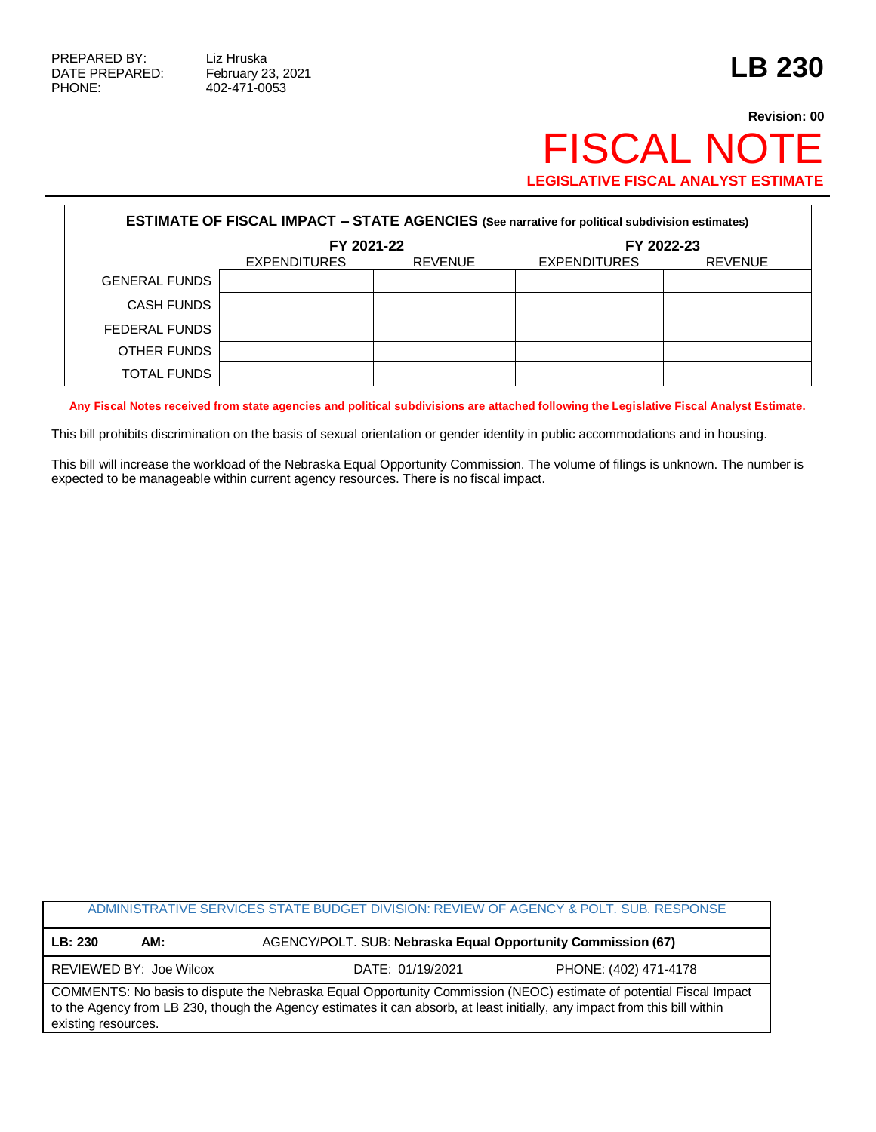PHONE: 402-471-0053

## **Revision: 00** FISCAL NOTE **LEGISLATIVE FISCAL ANALYST ESTIMATE**

| <b>ESTIMATE OF FISCAL IMPACT - STATE AGENCIES (See narrative for political subdivision estimates)</b> |              |                |                     |                |  |
|-------------------------------------------------------------------------------------------------------|--------------|----------------|---------------------|----------------|--|
|                                                                                                       | FY 2021-22   |                | FY 2022-23          |                |  |
|                                                                                                       | EXPENDITURES | <b>REVENUE</b> | <b>EXPENDITURES</b> | <b>REVENUE</b> |  |
| <b>GENERAL FUNDS</b>                                                                                  |              |                |                     |                |  |
| <b>CASH FUNDS</b>                                                                                     |              |                |                     |                |  |
| FEDERAL FUNDS                                                                                         |              |                |                     |                |  |
| OTHER FUNDS                                                                                           |              |                |                     |                |  |
| <b>TOTAL FUNDS</b>                                                                                    |              |                |                     |                |  |

**Any Fiscal Notes received from state agencies and political subdivisions are attached following the Legislative Fiscal Analyst Estimate.**

This bill prohibits discrimination on the basis of sexual orientation or gender identity in public accommodations and in housing.

This bill will increase the workload of the Nebraska Equal Opportunity Commission. The volume of filings is unknown. The number is expected to be manageable within current agency resources. There is no fiscal impact.

|                                                                                                                                                                                                                                                                         |     | ADMINISTRATIVE SERVICES STATE BUDGET DIVISION: REVIEW OF AGENCY & POLT. SUB. RESPONSE |                       |  |  |
|-------------------------------------------------------------------------------------------------------------------------------------------------------------------------------------------------------------------------------------------------------------------------|-----|---------------------------------------------------------------------------------------|-----------------------|--|--|
| LB: 230                                                                                                                                                                                                                                                                 | AM: | AGENCY/POLT. SUB: Nebraska Equal Opportunity Commission (67)                          |                       |  |  |
| REVIEWED BY: Joe Wilcox                                                                                                                                                                                                                                                 |     | DATE: 01/19/2021                                                                      | PHONE: (402) 471-4178 |  |  |
| COMMENTS: No basis to dispute the Nebraska Equal Opportunity Commission (NEOC) estimate of potential Fiscal Impact<br>to the Agency from LB 230, though the Agency estimates it can absorb, at least initially, any impact from this bill within<br>existing resources. |     |                                                                                       |                       |  |  |